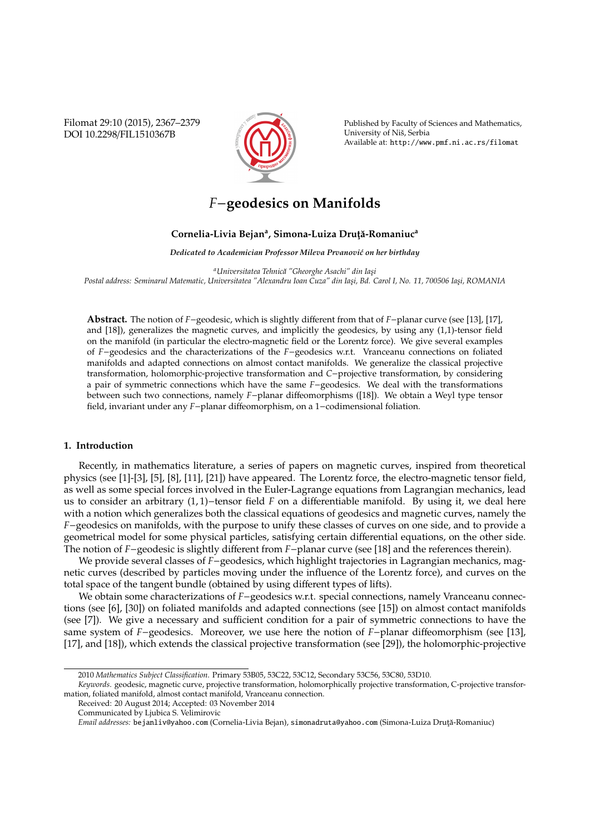Filomat 29:10 (2015), 2367–2379 DOI 10.2298/FIL1510367B



Published by Faculty of Sciences and Mathematics, University of Niš, Serbia Available at: http://www.pmf.ni.ac.rs/filomat

# *F*−**geodesics on Manifolds**

# **Cornelia-Livia Bejan<sup>a</sup> , Simona-Luiza Drut¸˘a-Romaniuc<sup>a</sup>**

*Dedicated to Academician Professor Mileva Prvanovic on her birthday ´*

*<sup>a</sup>Universitatea Tehnic˘a "Gheorghe Asachi" din Ias¸i* Postal address: Seminarul Matematic, Universitatea "Alexandru Ioan Cuza" din Iași, Bd. Carol I, No. 11, 700506 Iași, ROMANIA

**Abstract.** The notion of *F*−geodesic, which is slightly different from that of *F*−planar curve (see [13], [17], and [18]), generalizes the magnetic curves, and implicitly the geodesics, by using any (1,1)-tensor field on the manifold (in particular the electro-magnetic field or the Lorentz force). We give several examples of *F*−geodesics and the characterizations of the *F*−geodesics w.r.t. Vranceanu connections on foliated manifolds and adapted connections on almost contact manifolds. We generalize the classical projective transformation, holomorphic-projective transformation and *C*−projective transformation, by considering a pair of symmetric connections which have the same *F*−geodesics. We deal with the transformations between such two connections, namely *F*−planar diffeomorphisms ([18]). We obtain a Weyl type tensor field, invariant under any *F*−planar diffeomorphism, on a 1−codimensional foliation.

## **1. Introduction**

Recently, in mathematics literature, a series of papers on magnetic curves, inspired from theoretical physics (see [1]-[3], [5], [8], [11], [21]) have appeared. The Lorentz force, the electro-magnetic tensor field, as well as some special forces involved in the Euler-Lagrange equations from Lagrangian mechanics, lead us to consider an arbitrary (1, 1)−tensor field *F* on a differentiable manifold. By using it, we deal here with a notion which generalizes both the classical equations of geodesics and magnetic curves, namely the *F*−geodesics on manifolds, with the purpose to unify these classes of curves on one side, and to provide a geometrical model for some physical particles, satisfying certain differential equations, on the other side. The notion of *F*−geodesic is slightly different from *F*−planar curve (see [18] and the references therein).

We provide several classes of *F*−geodesics, which highlight trajectories in Lagrangian mechanics, magnetic curves (described by particles moving under the influence of the Lorentz force), and curves on the total space of the tangent bundle (obtained by using different types of lifts).

We obtain some characterizations of *F*−geodesics w.r.t. special connections, namely Vranceanu connections (see [6], [30]) on foliated manifolds and adapted connections (see [15]) on almost contact manifolds (see [7]). We give a necessary and sufficient condition for a pair of symmetric connections to have the same system of *F*−geodesics. Moreover, we use here the notion of *F*−planar diffeomorphism (see [13], [17], and [18]), which extends the classical projective transformation (see [29]), the holomorphic-projective

Received: 20 August 2014; Accepted: 03 November 2014

<sup>2010</sup> *Mathematics Subject Classification*. Primary 53B05, 53C22, 53C12, Secondary 53C56, 53C80, 53D10.

*Keywords*. geodesic, magnetic curve, projective transformation, holomorphically projective transformation, C-projective transformation, foliated manifold, almost contact manifold, Vranceanu connection.

Communicated by Ljubica S. Velimirovic

*Email addresses:* bejanliv@yahoo.com (Cornelia-Livia Bejan), simonadruta@yahoo.com (Simona-Luiza Druță-Romaniuc)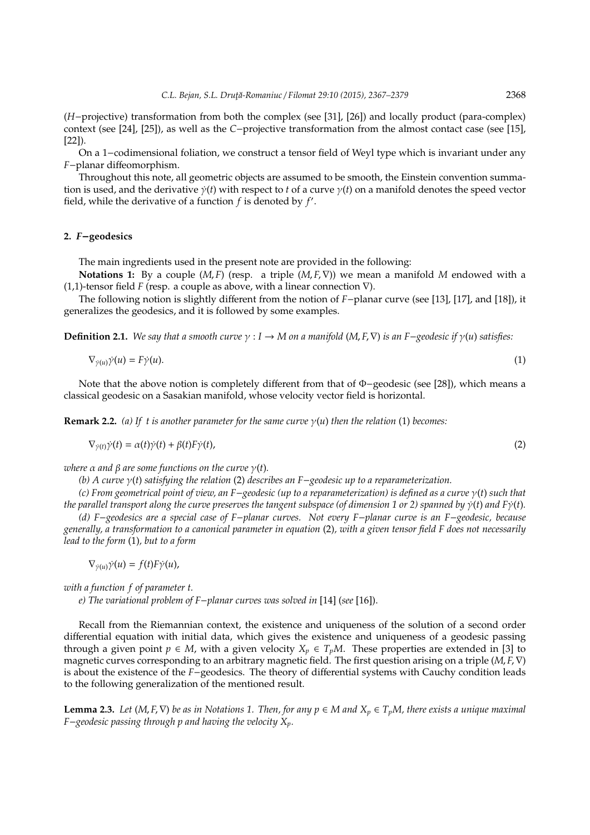(*H*−projective) transformation from both the complex (see [31], [26]) and locally product (para-complex) context (see [24], [25]), as well as the *C*−projective transformation from the almost contact case (see [15], [22]).

On a 1−codimensional foliation, we construct a tensor field of Weyl type which is invariant under any *F*−planar diffeomorphism.

Throughout this note, all geometric objects are assumed to be smooth, the Einstein convention summation is used, and the derivative  $\dot{\gamma}(t)$  with respect to *t* of a curve  $\gamma(t)$  on a manifold denotes the speed vector field, while the derivative of a function  $f$  is denoted by  $f'$ .

## **2.** *F*−**geodesics**

The main ingredients used in the present note are provided in the following:

**Notations 1:** By a couple (*M*, *F*) (resp. a triple (*M*, *F*,∇)) we mean a manifold *M* endowed with a (1,1)-tensor field *F* (resp. a couple as above, with a linear connection ∇).

The following notion is slightly different from the notion of *F*−planar curve (see [13], [17], and [18]), it generalizes the geodesics, and it is followed by some examples.

**Definition 2.1.** *We say that a smooth curve*  $\gamma$  : *I*  $\rightarrow$  *M on a manifold* (*M*, *F*,  $\nabla$ ) *is an F*−*geodesic if*  $\gamma$ (*u*) *satisfies:* 

$$
\nabla_{\dot{\gamma}(u)}\dot{\gamma}(u) = F\dot{\gamma}(u). \tag{1}
$$

Note that the above notion is completely different from that of Φ−geodesic (see [28]), which means a classical geodesic on a Sasakian manifold, whose velocity vector field is horizontal.

**Remark 2.2.** *(a)* If t is another parameter for the same curve  $\gamma(u)$  then the relation (1) becomes:

 $\nabla_{\gamma(t)}\dot{\gamma}(t) = \alpha(t)\dot{\gamma}(t) + \beta(t)F\dot{\gamma}(t),$ (2)

*where*  $\alpha$  *and*  $\beta$  *are some functions on the curve*  $\gamma(t)$ *.* 

*(b) A curve* γ(*t*) *satisfying the relation* (2) *describes an F*−*geodesic up to a reparameterization.*

*(c) From geometrical point of view, an F*−*geodesic (up to a reparameterization) is defined as a curve* γ(*t*) *such that the parallel transport along the curve preserves the tangent subspace (of dimension 1 or 2) spanned by* γ˙(*t*) *and F*γ˙(*t*)*.*

*(d) F*−*geodesics are a special case of F*−*planar curves. Not every F*−*planar curve is an F*−*geodesic, because generally, a transformation to a canonical parameter in equation* (2)*, with a given tensor field F does not necessarily lead to the form* (1)*, but to a form*

 $\nabla_{\dot{\nu}(u)}\dot{\nu}(u) = f(t)F\dot{\nu}(u),$ 

*with a function f of parameter t.*

*e) The variational problem of F*−*planar curves was solved in* [14] (*see* [16]).

Recall from the Riemannian context, the existence and uniqueness of the solution of a second order differential equation with initial data, which gives the existence and uniqueness of a geodesic passing through a given point *p* ∈ *M*, with a given velocity  $X_p$  ∈  $T_pM$ . These properties are extended in [3] to magnetic curves corresponding to an arbitrary magnetic field. The first question arising on a triple (*M*, *F*,∇) is about the existence of the *F*−geodesics. The theory of differential systems with Cauchy condition leads to the following generalization of the mentioned result.

**Lemma 2.3.** *Let* (*M*, *F*,  $\nabla$ *) be as in Notations 1. Then, for any*  $p ∈ M$  *and*  $X_p ∈ T_pM$ *, there exists a unique maximal F*−*geodesic passing through p and having the velocity Xp.*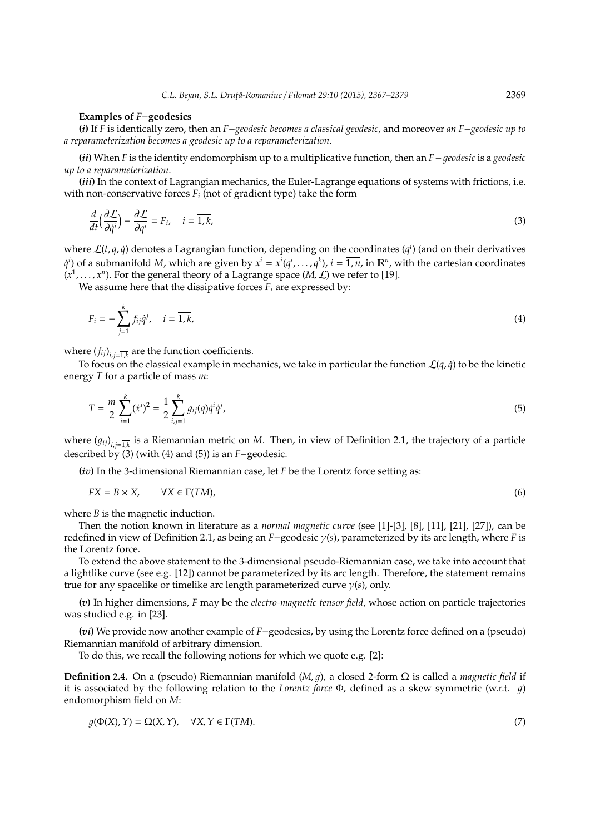#### **Examples of** *F*−**geodesics**

**(***i***)** If *F* is identically zero, then an *F*−*geodesic becomes a classical geodesic*, and moreover *an F*−*geodesic up to a reparameterization becomes a geodesic up to a reparameterization*.

**(***ii***)** When *F* is the identity endomorphism up to a multiplicative function, then an *F*−1*eodesic* is a *geodesic up to a reparameterization*.

**(***iii***)** In the context of Lagrangian mechanics, the Euler-Lagrange equations of systems with frictions, i.e. with non-conservative forces *F<sup>i</sup>* (not of gradient type) take the form

$$
\frac{d}{dt}\left(\frac{\partial \mathcal{L}}{\partial \dot{q}^i}\right) - \frac{\partial \mathcal{L}}{\partial q^i} = F_{i}, \quad i = \overline{1, k},
$$
\n(3)

where  $\mathcal{L}(t, q, \dot{q})$  denotes a Lagrangian function, depending on the coordinates ( $q^i$ ) (and on their derivatives  $q^i$ ) of a submanifold *M*, which are given by  $x^i = x^i(q^i,\ldots,q^k)$ ,  $i = \overline{1,n}$ , in  $\mathbb{R}^n$ , with the cartesian coordinates  $(x^1, \ldots, x^n)$ . For the general theory of a Lagrange space  $(M, \mathcal{L})$  we refer to [19].

We assume here that the dissipative forces  $F_i$  are expressed by:

$$
F_i = -\sum_{j=1}^k f_{ij} \dot{q}^j, \quad i = \overline{1, k}, \tag{4}
$$

where  $(f_{ij})_{i,j=\overline{1,k}}$  are the function coefficients.

To focus on the classical example in mechanics, we take in particular the function  $\mathcal{L}(q, \dot{q})$  to be the kinetic energy *T* for a particle of mass *m*:

$$
T = \frac{m}{2} \sum_{i=1}^{k} (\dot{x}^i)^2 = \frac{1}{2} \sum_{i,j=1}^{k} g_{ij}(q) \dot{q}^i \dot{q}^j,
$$
 (5)

where  $(g_{ij})_{i,j=\overline{1,k}}$  is a Riemannian metric on *M*. Then, in view of Definition 2.1, the trajectory of a particle described by (3) (with (4) and (5)) is an *F*−geodesic.

**(***iv***)** In the 3-dimensional Riemannian case, let *F* be the Lorentz force setting as:

$$
FX = B \times X, \qquad \forall X \in \Gamma(TM), \tag{6}
$$

where *B* is the magnetic induction.

Then the notion known in literature as a *normal magnetic curve* (see [1]-[3], [8], [11], [21], [27]), can be redefined in view of Definition 2.1, as being an *F*−geodesic γ(*s*), parameterized by its arc length, where *F* is the Lorentz force.

To extend the above statement to the 3-dimensional pseudo-Riemannian case, we take into account that a lightlike curve (see e.g. [12]) cannot be parameterized by its arc length. Therefore, the statement remains true for any spacelike or timelike arc length parameterized curve γ(*s*), only.

**(***v***)** In higher dimensions, *F* may be the *electro-magnetic tensor field*, whose action on particle trajectories was studied e.g. in [23].

**(***vi***)** We provide now another example of *F*−geodesics, by using the Lorentz force defined on a (pseudo) Riemannian manifold of arbitrary dimension.

To do this, we recall the following notions for which we quote e.g. [2]:

**Definition 2.4.** On a (pseudo) Riemannian manifold  $(M, q)$ , a closed 2-form  $\Omega$  is called a *magnetic field* if it is associated by the following relation to the *Lorentz force* Φ, defined as a skew symmetric (w.r.t. q) endomorphism field on *M*:

$$
g(\Phi(X), Y) = \Omega(X, Y), \quad \forall X, Y \in \Gamma(TM).
$$
\n(7)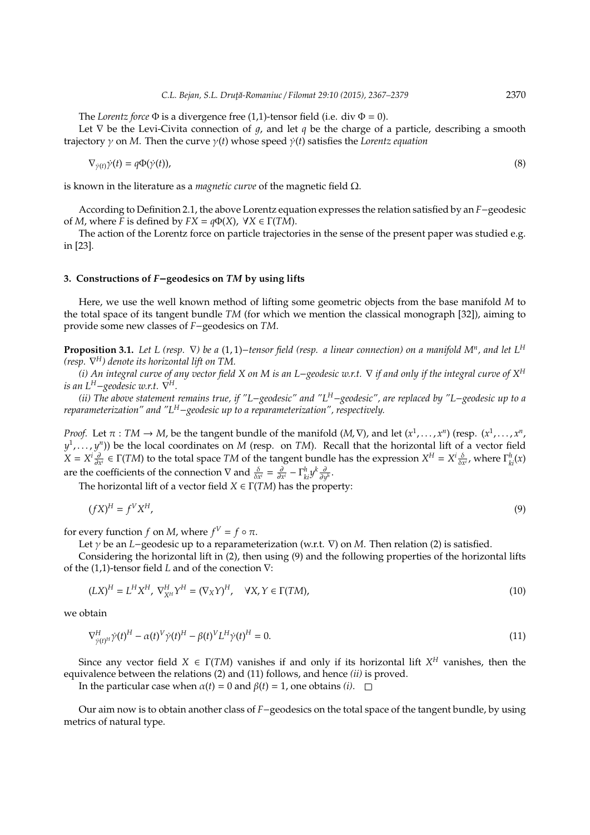The *Lorentz force*  $\Phi$  is a divergence free (1,1)-tensor field (i.e. div  $\Phi = 0$ ).

Let  $\nabla$  be the Levi-Civita connection of q, and let q be the charge of a particle, describing a smooth trajectory γ on *M*. Then the curve γ(*t*) whose speed γ˙(*t*) satisfies the *Lorentz equation*

$$
\nabla_{\dot{\gamma}(t)}\dot{\gamma}(t) = q\Phi(\dot{\gamma}(t)),\tag{8}
$$

is known in the literature as a *magnetic curve* of the magnetic field Ω.

According to Definition 2.1, the above Lorentz equation expresses the relation satisfied by an *F*−geodesic of *M*, where *F* is defined by  $FX = q\Phi(X)$ ,  $\forall X \in \Gamma(TM)$ .

The action of the Lorentz force on particle trajectories in the sense of the present paper was studied e.g. in [23].

# **3. Constructions of** *F*−**geodesics on** *TM* **by using lifts**

Here, we use the well known method of lifting some geometric objects from the base manifold *M* to the total space of its tangent bundle *TM* (for which we mention the classical monograph [32]), aiming to provide some new classes of *F*−geodesics on *TM*.

**Proposition 3.1.** *Let L (resp.* ∇*) be a* (1, 1)−*tensor field (resp. a linear connection) on a manifold M<sup>n</sup> , and let L<sup>H</sup> (resp.* ∇ *<sup>H</sup>) denote its horizontal lift on TM.*

*(i) An integral curve of any vector field X on M is an L*−*geodesic w.r.t.* ∇ *if and only if the integral curve of X<sup>H</sup> is an L<sup>H</sup>−geodesic w.r.t.*  $\check{\nabla}^H$ .

*(ii) The above statement remains true, if "L*−*geodesic" and "LH*−*geodesic", are replaced by "L*−*geodesic up to a reparameterization" and "LH*−*geodesic up to a reparameterization", respectively.*

*Proof.* Let  $\pi : TM \to M$ , be the tangent bundle of the manifold  $(M, \nabla)$ , and let  $(x^1, \ldots, x^n)$  (resp.  $(x^1, \ldots, x^n)$ , *y* 1 , . . . , *y n* )) be the local coordinates on *M* (resp. on *TM*). Recall that the horizontal lift of a vector field  $X = X^i \frac{\partial}{\partial x^i} \in \Gamma(TM)$  to the total space TM of the tangent bundle has the expression  $X^H = X^i \frac{\delta}{\delta x^i}$ , where  $\Gamma^h_{ki}(x)$ are the coefficients of the connection  $\nabla$  and  $\frac{\delta}{\delta x^i} = \frac{\partial}{\partial x^i} - \Gamma_{ki}^h y^k \frac{\partial}{\partial y^h}$ .

The horizontal lift of a vector field  $X \in \Gamma(TM)$  has the property:

$$
(fX)^H = f^V X^H,\tag{9}
$$

for every function *f* on *M*, where  $f^V = f \circ \pi$ .

Let γ be an *L*−geodesic up to a reparameterization (w.r.t. ∇) on *M*. Then relation (2) is satisfied.

Considering the horizontal lift in (2), then using (9) and the following properties of the horizontal lifts of the (1,1)-tensor field *L* and of the conection ∇:

$$
(LX)^{H} = L^{H}X^{H}, \ \nabla_{X^{H}}^{H}Y^{H} = (\nabla_{X}Y)^{H}, \quad \forall X, Y \in \Gamma(TM),
$$
\n<sup>(10)</sup>

we obtain

$$
\nabla_{\dot{\gamma}(t)^H}^H \dot{\gamma}(t)^H - \alpha(t)^V \dot{\gamma}(t)^H - \beta(t)^V L^H \dot{\gamma}(t)^H = 0.
$$
\n(11)

Since any vector field  $X \in \Gamma(TM)$  vanishes if and only if its horizontal lift  $X^H$  vanishes, then the equivalence between the relations (2) and (11) follows, and hence *(ii)* is proved.

In the particular case when  $\alpha(t) = 0$  and  $\beta(t) = 1$ , one obtains *(i)*.  $\Box$ 

Our aim now is to obtain another class of *F*−geodesics on the total space of the tangent bundle, by using metrics of natural type.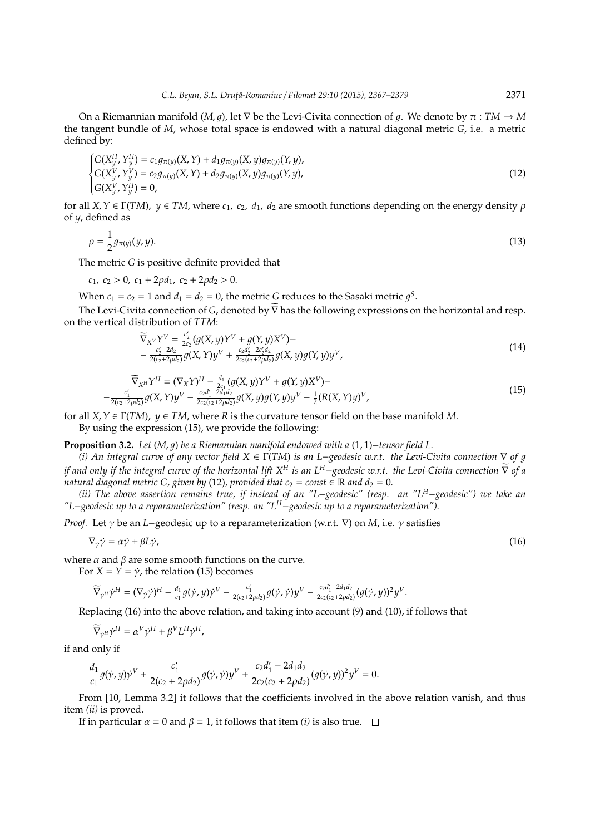On a Riemannian manifold (*M*, *a*), let  $\nabla$  be the Levi-Civita connection of *a*. We denote by  $\pi : TM \to M$ the tangent bundle of *M*, whose total space is endowed with a natural diagonal metric *G*, i.e. a metric defined by:

$$
\begin{cases} G(X_y^H, Y_y^H) = c_1 g_{\pi(y)}(X, Y) + d_1 g_{\pi(y)}(X, y) g_{\pi(y)}(Y, y), \\ G(X_y^V, Y_y^V) = c_2 g_{\pi(y)}(X, Y) + d_2 g_{\pi(y)}(X, y) g_{\pi(y)}(Y, y), \\ G(X_y^V, Y_y^H) = 0, \end{cases}
$$
\n(12)

for all *X*,*Y* ∈ Γ(*TM*), *y* ∈ *TM*, where *c*1, *c*2, *d*1, *d*<sup>2</sup> are smooth functions depending on the energy density ρ of *y*, defined as

$$
\rho = \frac{1}{2}g_{\pi(y)}(y, y). \tag{13}
$$

The metric *G* is positive definite provided that

$$
c_1, c_2 > 0, c_1 + 2\rho d_1, c_2 + 2\rho d_2 > 0.
$$

When  $c_1 = c_2 = 1$  and  $d_1 = d_2 = 0$ , the metric G reduces to the Sasaki metric  $g^S$ .

The Levi-Civita connection of *G*, denoted by  $\widetilde{\nabla}$  has the following expressions on the horizontal and resp. on the vertical distribution of *TTM*:

$$
\widetilde{\nabla}_{X^V} Y^V = \frac{c'_2}{2c_2} (g(X, y)Y^V + g(Y, y)X^V) - \n- \frac{c'_2 - 2d_2}{2(c_2 + 2\rho d_2)} g(X, Y) y^V + \frac{c_2 d'_2 - 2c'_2 d_2}{2c_2(c_2 + 2\rho d_2)} g(X, y) g(Y, y) y^V,
$$
\n(14)

$$
\begin{aligned} \nabla_{X^H} Y^H &= (\nabla_X Y)^H - \frac{d_1}{2c_1} (g(X, y)Y^V + g(Y, y)X^V) - \\ \n&- \frac{c'_1}{2(c_2 + 2\rho d_2)} g(X, Y) y^V - \frac{c_2 d'_1 - 2d_1 d_2}{2c_2 (c_2 + 2\rho d_2)} g(X, y) g(Y, y) y^V - \frac{1}{2} (R(X, Y) y)^V, \n\end{aligned} \tag{15}
$$

for all *X*,*Y* ∈ Γ(*TM*), *y* ∈ *TM*, where *R* is the curvature tensor field on the base manifold *M*. By using the expression (15), we provide the following:

**Proposition 3.2.** *Let* (*M*, 1) *be a Riemannian manifold endowed with a* (1, 1)−*tensor field L.*

*(i) An integral curve of any vector field X* ∈ Γ(*TM*) *is an L*−*geodesic w.r.t. the Levi-Civita connection* ∇ *of* 1 *if and only if the integral curve of the horizontal lift X<sup><i>H*</sup> is an L<sup>H</sup>−geodesic w.r.t. the Levi-Civita connection  $\overline{V}$  of a *natural diagonal metric G, given by* (12), provided that  $c_2 = const \in \mathbb{R}$  and  $d_2 = 0$ .

*(ii) The above assertion remains true, if instead of an "L*−*geodesic" (resp. an "LH*−*geodesic") we take an "L*−*geodesic up to a reparameterization" (resp. an "LH*−*geodesic up to a reparameterization").*

*Proof.* Let γ be an *L*−geodesic up to a reparameterization (w.r.t. ∇) on *M*, i.e. γ satisfies

$$
\nabla_{\dot{\gamma}} \dot{\gamma} = \alpha \dot{\gamma} + \beta L \dot{\gamma}, \tag{16}
$$

where  $\alpha$  and  $\beta$  are some smooth functions on the curve.

For  $X = Y = \dot{\gamma}$ , the relation (15) becomes

$$
\widetilde{\nabla}_{\dot{\gamma}^H}\dot{\gamma}^H=(\nabla_{\dot{\gamma}}\dot{\gamma})^H-\tfrac{d_1}{c_1}g(\dot{\gamma},y)\dot{\gamma}^V-\tfrac{c_1'}{2(c_2+2\rho d_2)}g(\dot{\gamma},\dot{\gamma})y^V-\tfrac{c_2d_1'-2d_1d_2}{2c_2(c_2+2\rho d_2)}(g(\dot{\gamma},y))^2y^V.
$$

Replacing (16) into the above relation, and taking into account (9) and (10), if follows that

$$
\widetilde{\nabla}_{\dot{\gamma}^H}\dot{\gamma}^H=\alpha^V\dot{\gamma}^H+\beta^V L^H\dot{\gamma}^H,
$$

if and only if

$$
\frac{d_1}{c_1}g(\dot\gamma,y)\dot\gamma^V+\frac{c_1'}{2(c_2+2\rho d_2)}g(\dot\gamma,\dot\gamma)y^V+\frac{c_2d_1'-2d_1d_2}{2c_2(c_2+2\rho d_2)}(g(\dot\gamma,y))^2y^V=0.
$$

From [10, Lemma 3.2] it follows that the coefficients involved in the above relation vanish, and thus item *(ii)* is proved.

If in particular  $\alpha = 0$  and  $\beta = 1$ , it follows that item *(i)* is also true.  $\Box$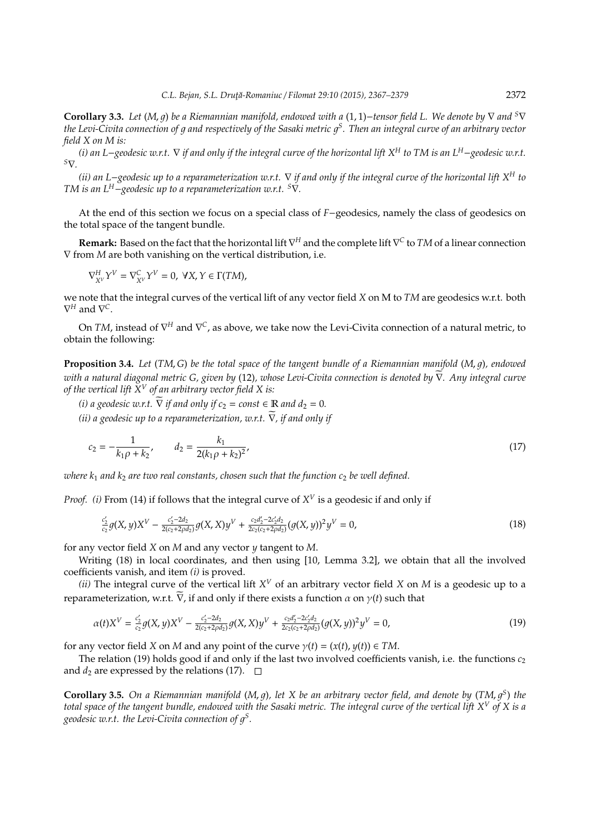**Corollary 3.3.** *Let* (*M*, 1) *be a Riemannian manifold, endowed with a* (1, 1)−*tensor field L. We denote by* ∇ *and <sup>S</sup>*∇ *the Levi-Civita connection of* 1 *and respectively of the Sasaki metric* 1 *S . Then an integral curve of an arbitrary vector field X on M is:*

*(i) an L*−*geodesic w.r.t.* ∇ *if and only if the integral curve of the horizontal lift X<sup>H</sup> to TM is an L<sup>H</sup>*−*geodesic w.r.t. <sup>S</sup>*∇*.*

*(ii) an L*−*geodesic up to a reparameterization w.r.t.* ∇ *if and only if the integral curve of the horizontal lift X<sup>H</sup> to TM is an L<sup>H</sup>*−*geodesic up to a reparameterization w.r.t. <sup>S</sup>*∇*.*

At the end of this section we focus on a special class of *F*−geodesics, namely the class of geodesics on the total space of the tangent bundle.

**Remark:** Based on the fact that the horizontal lift ∇ *<sup>H</sup>* and the complete lift ∇ *C* to *TM* of a linear connection ∇ from *M* are both vanishing on the vertical distribution, i.e.

$$
\nabla^H_{X^V} Y^V = \nabla^C_{X^V} Y^V = 0, \ \forall X, Y \in \Gamma(TM),
$$

we note that the integral curves of the vertical lift of any vector field *X* on M to *TM* are geodesics w.r.t. both  $\nabla^H$  and  $\nabla^C$ .

On *TM,* instead of  $\nabla^H$  and  $\nabla^C$ , as above, we take now the Levi-Civita connection of a natural metric, to obtain the following:

**Proposition 3.4.** Let (TM, G) be the total space of the tangent bundle of a Riemannian manifold (M, q), endowed *with a natural diagonal metric G, given by* (12), whose Levi-Civita connection is denoted by  $\overline{V}$ . Any integral curve *of the vertical lift X<sup>V</sup> of an arbitrary vector field X is:*

*(i) a geodesic w.r.t.*  $\nabla$  *if and only if*  $c_2 = const \in \mathbb{R}$  *and*  $d_2 = 0$ *. (ii) a geodesic up to a reparameterization, w.r.t.*  $\widetilde{\nabla}$ *, if and only if* 

$$
c_2 = -\frac{1}{k_1 \rho + k_2}, \qquad d_2 = \frac{k_1}{2(k_1 \rho + k_2)^2},\tag{17}
$$

*where k<sub>1</sub> and k<sub>2</sub> are two real constants, chosen such that the function c<sub>2</sub> be well defined.* 

*Proof.* (*i*) From (14) if follows that the integral curve of  $X^V$  is a geodesic if and only if

$$
\frac{c_2'}{c_2}g(X,y)X^V - \frac{c_2'-2d_2}{2(c_2+2\rho d_2)}g(X,X)y^V + \frac{c_2d_2'-2c_2'd_2}{2c_2(c_2+2\rho d_2)}(g(X,y))^2y^V = 0,
$$
\n(18)

for any vector field *X* on *M* and any vector *y* tangent to *M*.

Writing (18) in local coordinates, and then using [10, Lemma 3.2], we obtain that all the involved coefficients vanish, and item *(i)* is proved.

*(ii)* The integral curve of the vertical lift  $X^V$  of an arbitrary vector field X on M is a geodesic up to a reparameterization, w.r.t.  $\nabla$ , if and only if there exists a function  $\alpha$  on  $\gamma(t)$  such that

$$
\alpha(t)X^{V} = \frac{c'_{2}}{c_{2}}g(X,y)X^{V} - \frac{c'_{2}-2d_{2}}{2(c_{2}+2\rho d_{2})}g(X,X)y^{V} + \frac{c_{2}d'_{2}-2c'_{2}d_{2}}{2c_{2}(c_{2}+2\rho d_{2})}(g(X,y))^{2}y^{V} = 0,
$$
\n(19)

for any vector field *X* on *M* and any point of the curve  $\gamma(t) = (x(t), y(t)) \in TM$ .

The relation (19) holds good if and only if the last two involved coefficients vanish, i.e. the functions  $c_2$ and  $d_2$  are expressed by the relations (17).  $\Box$ 

**Corollary 3.5.** On a Riemannian manifold (M, g), let X be an arbitrary vector field, and denote by (TM, g<sup>S</sup>) the *total space of the tangent bundle, endowed with the Sasaki metric. The integral curve of the vertical lift X<sup>V</sup> of X is a* geodesic w.r.t. the Levi-Civita connection of  $g^{\rm S}$ .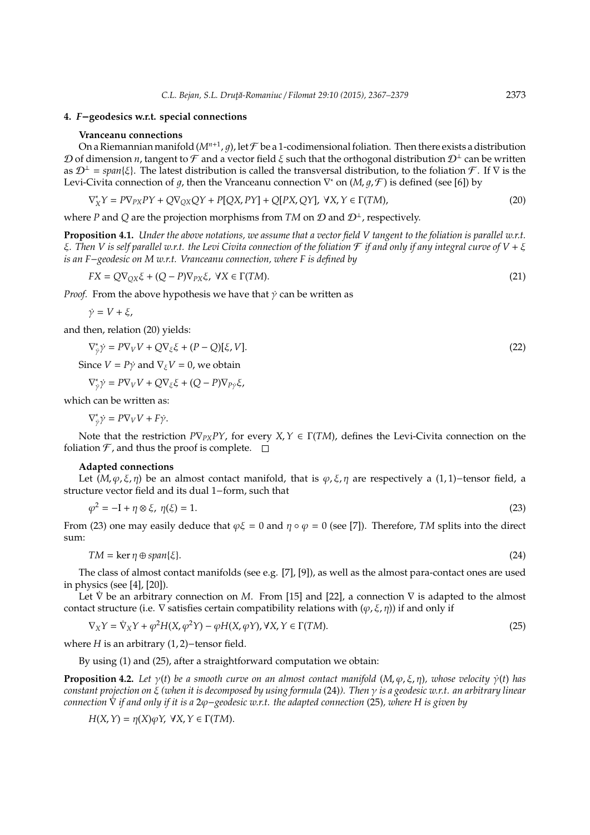### **4.** *F*−**geodesics w.r.t. special connections**

#### **Vranceanu connections**

On a Riemannian manifold ( $M^{n+1}$ , g), let  ${\cal F}$  be a 1-codimensional foliation. Then there exists a distribution D of dimension *n*, tangent to F and a vector field  $\xi$  such that the orthogonal distribution  $\mathcal{D}^{\perp}$  can be written as D<sup>⊥</sup> = *span*{ξ}. The latest distribution is called the transversal distribution, to the foliation F . If ∇ is the Levi-Civita connection of g, then the Vranceanu connection  $\nabla^*$  on  $(M, g, \mathcal{F})$  is defined (see [6]) by

$$
\nabla_X^* Y = P \nabla_{PX} P Y + Q \nabla_{QX} Q Y + P [QX, PY] + Q [PX, QY], \ \forall X, Y \in \Gamma(TM), \tag{20}
$$

where *P* and *Q* are the projection morphisms from *TM* on  $D$  and  $D^{\perp}$ , respectively.

**Proposition 4.1.** *Under the above notations, we assume that a vector field V tangent to the foliation is parallel w.r.t.* ξ*. Then V is self parallel w.r.t. the Levi Civita connection of the foliation* F *if and only if any integral curve of V* + ξ *is an F*−*geodesic on M w.r.t. Vranceanu connection, where F is defined by*

$$
FX = Q\nabla_{QX}\xi + (Q - P)\nabla_{PX}\xi, \ \forall X \in \Gamma(TM).
$$
\n(21)

*Proof.* From the above hypothesis we have that  $\dot{y}$  can be written as

$$
\dot{\gamma} = V + \xi,
$$

and then, relation (20) yields:

$$
\nabla_{\dot{\gamma}}^* \dot{\gamma} = P \nabla_V V + Q \nabla_{\xi} \xi + (P - Q)[\xi, V]. \tag{22}
$$

Since  $V = P\dot{v}$  and  $\nabla_{\dot{x}}V = 0$ , we obtain

$$
\nabla_{\dot{\gamma}}^* \dot{\gamma} = P \nabla_V V + Q \nabla_{\xi} \xi + (Q - P) \nabla_{P \dot{\gamma}} \xi,
$$

which can be written as:

$$
\nabla_{\dot{\gamma}}^* \dot{\gamma} = P \nabla_V V + F \dot{\gamma}.
$$

Note that the restriction  $P\nabla_{PX}PY$ , for every  $X, Y \in \Gamma(TM)$ , defines the Levi-Civita connection on the foliation  $\mathcal F$ , and thus the proof is complete.  $\Box$ 

#### **Adapted connections**

Let  $(M, \varphi, \xi, \eta)$  be an almost contact manifold, that is  $\varphi, \xi, \eta$  are respectively a (1,1)–tensor field, a structure vector field and its dual 1−form, such that

$$
\varphi^2 = -I + \eta \otimes \xi, \ \eta(\xi) = 1. \tag{23}
$$

From (23) one may easily deduce that  $\varphi\xi = 0$  and  $\eta \circ \varphi = 0$  (see [7]). Therefore, *TM* splits into the direct sum:

$$
TM = \ker \eta \oplus span{\xi}.
$$
\n<sup>(24)</sup>

The class of almost contact manifolds (see e.g. [7], [9]), as well as the almost para-contact ones are used in physics (see [4], [20]).

Let  $\dot{\nabla}$  be an arbitrary connection on *M*. From [15] and [22], a connection  $\nabla$  is adapted to the almost contact structure (i.e.  $\nabla$  satisfies certain compatibility relations with  $(\varphi, \xi, \eta)$ ) if and only if

$$
\nabla_X Y = \dot{\nabla}_X Y + \varphi^2 H(X, \varphi^2 Y) - \varphi H(X, \varphi Y), \forall X, Y \in \Gamma(TM).
$$
\n(25)

where *H* is an arbitrary (1, 2)−tensor field.

By using (1) and (25), after a straightforward computation we obtain:

**Proposition 4.2.** Let  $\gamma(t)$  be a smooth curve on an almost contact manifold  $(M, \varphi, \xi, \eta)$ , whose velocity  $\dot{\gamma}(t)$  has *constant projection on* ξ *(when it is decomposed by using formula* (24)*). Then* γ *is a geodesic w.r.t. an arbitrary linear connection* ∇˙ *if and only if it is a* 2ϕ−*geodesic w.r.t. the adapted connection* (25)*, where H is given by*

$$
H(X, Y) = \eta(X)\varphi Y, \ \forall X, Y \in \Gamma(TM).
$$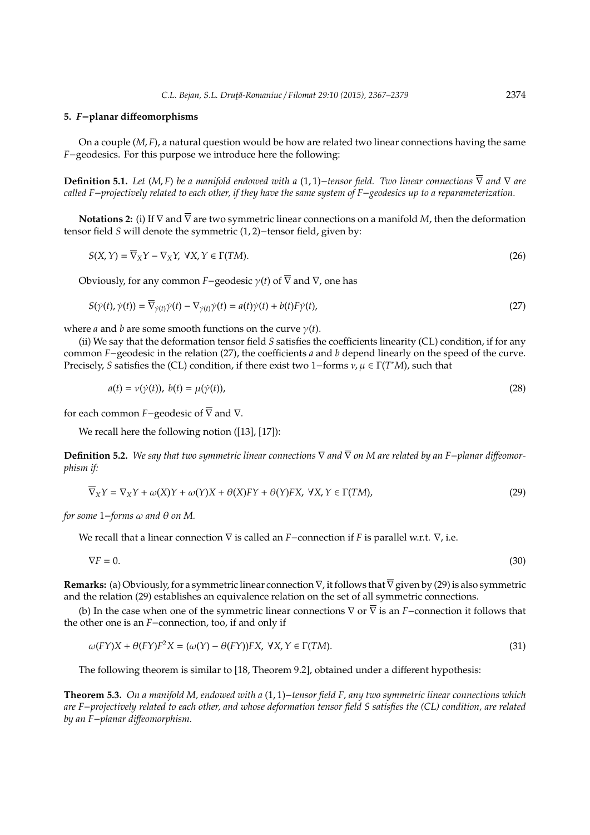#### **5.** *F*−**planar di**ff**eomorphisms**

On a couple (*M*, *F*), a natural question would be how are related two linear connections having the same *F*−geodesics. For this purpose we introduce here the following:

**Definition 5.1.** *Let* (*M*, *F*) *be a manifold endowed with a* (1, 1)−*tensor field. Two linear connections*  $\overline{\nabla}$  *and*  $\nabla$  *are called F*−*projectively related to each other, if they have the same system of F*−*geodesics up to a reparameterization.*

**Notations 2:** (i) If ∇ and ∇ are two symmetric linear connections on a manifold *M*, then the deformation tensor field *S* will denote the symmetric (1, 2)−tensor field, given by:

$$
S(X,Y) = \overline{\nabla}_X Y - \nabla_X Y, \ \forall X, Y \in \Gamma(TM).
$$
\n(26)

Obviously, for any common *F*−geodesic  $\gamma(t)$  of  $\overline{\nabla}$  and  $\nabla$ , one has

$$
S(\dot{\gamma}(t), \dot{\gamma}(t)) = \overline{\nabla}_{\dot{\gamma}(t)} \dot{\gamma}(t) - \nabla_{\dot{\gamma}(t)} \dot{\gamma}(t) = a(t)\dot{\gamma}(t) + b(t)F\dot{\gamma}(t),
$$
\n(27)

where *a* and *b* are some smooth functions on the curve  $\gamma(t)$ .

(ii) We say that the deformation tensor field *S* satisfies the coefficients linearity (CL) condition, if for any common *F*−geodesic in the relation (27), the coefficients *a* and *b* depend linearly on the speed of the curve. Precisely, *S* satisfies the (CL) condition, if there exist two 1−forms ν, µ ∈ Γ(*T* <sup>∗</sup>*M*), such that

$$
a(t) = \nu(\dot{\gamma}(t)), \ b(t) = \mu(\dot{\gamma}(t)), \tag{28}
$$

for each common *F*−geodesic of  $\overline{\nabla}$  and  $\nabla$ .

We recall here the following notion ([13], [17]):

**Definition 5.2.** We say that two symmetric linear connections  $\nabla$  and  $\overline{\nabla}$  on M are related by an F−*planar diffeomorphism if:*

$$
\overline{\nabla}_X Y = \nabla_X Y + \omega(X)Y + \omega(Y)X + \theta(X)FY + \theta(Y)FX, \ \forall X, Y \in \Gamma(TM),\tag{29}
$$

*for some* 1−*forms* ω *and* θ *on M.*

We recall that a linear connection ∇ is called an *F*−connection if *F* is parallel w.r.t. ∇, i.e.

 $\nabla F = 0.$  (30)

**Remarks:** (a) Obviously, for a symmetric linear connection  $\nabla$ , it follows that  $\overline{\nabla}$  given by (29) is also symmetric and the relation (29) establishes an equivalence relation on the set of all symmetric connections.

(b) In the case when one of the symmetric linear connections ∇ or ∇ is an *F*−connection it follows that the other one is an *F*−connection, too, if and only if

$$
\omega(FY)X + \theta(FY)F^2X = (\omega(Y) - \theta(FY))FX, \ \forall X, Y \in \Gamma(TM).
$$
\n(31)

The following theorem is similar to [18, Theorem 9.2], obtained under a different hypothesis:

**Theorem 5.3.** *On a manifold M, endowed with a* (1, 1)−*tensor field F, any two symmetric linear connections which are F*−*projectively related to each other, and whose deformation tensor field S satisfies the (CL) condition, are related by an F*−*planar di*ff*eomorphism.*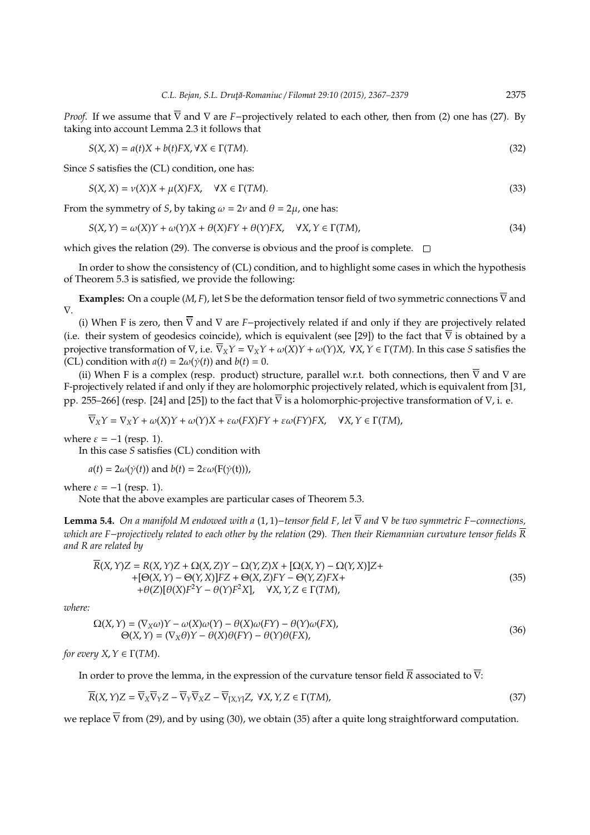*Proof.* If we assume that  $\overline{\nabla}$  and  $\nabla$  are *F*−projectively related to each other, then from (2) one has (27). By taking into account Lemma 2.3 it follows that

$$
S(X, X) = a(t)X + b(t)FX, \forall X \in \Gamma(TM).
$$
\n(32)

Since *S* satisfies the (CL) condition, one has:

$$
S(X, X) = \nu(X)X + \mu(X)FX, \quad \forall X \in \Gamma(TM).
$$
\n(33)

From the symmetry of *S*, by taking  $\omega = 2\nu$  and  $\theta = 2\mu$ , one has:

$$
S(X,Y) = \omega(X)Y + \omega(Y)X + \theta(X)FY + \theta(Y)FX, \quad \forall X, Y \in \Gamma(TM),
$$
\n(34)

which gives the relation (29). The converse is obvious and the proof is complete.  $\square$ 

In order to show the consistency of (CL) condition, and to highlight some cases in which the hypothesis of Theorem 5.3 is satisfied, we provide the following:

**Examples:** On a couple (*M*, *F*), let S be the deformation tensor field of two symmetric connections  $\overline{\nabla}$  and ∇.

(i) When F is zero, then  $\overline{\nabla}$  and  $\nabla$  are *F*−projectively related if and only if they are projectively related (i.e. their system of geodesics coincide), which is equivalent (see [29]) to the fact that  $\overline{\nabla}$  is obtained by a projective transformation of  $\nabla$ , i.e.  $\nabla_X Y = \nabla_X Y + \omega(X)Y + \omega(Y)X$ ,  $\forall X, Y \in \Gamma(TM)$ . In this case *S* satisfies the (CL) condition with  $a(t) = 2\omega(\dot{\gamma}(t))$  and  $b(t) = 0$ .

(ii) When F is a complex (resp. product) structure, parallel w.r.t. both connections, then  $\overline{\nabla}$  and  $\nabla$  are F-projectively related if and only if they are holomorphic projectively related, which is equivalent from [31, pp. 255–266] (resp. [24] and [25]) to the fact that  $\overline{V}$  is a holomorphic-projective transformation of  $V$ , i. e.

$$
\overline{\nabla}_XY=\nabla_XY+\omega(X)Y+\omega(Y)X+\varepsilon\omega(FX)FY+\varepsilon\omega(FY)FX,\quad \forall X,Y\in\Gamma(TM),
$$

where  $\varepsilon = -1$  (resp. 1).

In this case *S* satisfies (CL) condition with

$$
a(t) = 2\omega(\dot{\gamma}(t))
$$
 and  $b(t) = 2\varepsilon\omega(F(\dot{\gamma}(t))),$ 

where  $\varepsilon = -1$  (resp. 1).

Note that the above examples are particular cases of Theorem 5.3.

**Lemma 5.4.** *On a manifold M endowed with a* (1, 1)−*tensor field F, let* ∇ *and* ∇ *be two symmetric F*−*connections, which are F*−*projectively related to each other by the relation* (29)*. Then their Riemannian curvature tensor fields R and R are related by*

$$
\overline{R}(X,Y)Z = R(X,Y)Z + \Omega(X,Z)Y - \Omega(Y,Z)X + [\Omega(X,Y) - \Omega(Y,X)]Z + + [\Theta(X,Y) - \Theta(Y,X)]FZ + \Theta(X,Z)FY - \Theta(Y,Z)FX + + \theta(Z)[\theta(X)F^2Y - \theta(Y)F^2X], \quad \forall X,Y,Z \in \Gamma(TM),
$$
\n(35)

*where:*

$$
\Omega(X, Y) = (\nabla_X \omega)Y - \omega(X)\omega(Y) - \theta(X)\omega(FY) - \theta(Y)\omega(FX),
$$
  
\n
$$
\Theta(X, Y) = (\nabla_X \theta)Y - \theta(X)\theta(FY) - \theta(Y)\theta(FX),
$$
\n(36)

*for every*  $X, Y \in \Gamma(TM)$ *.* 

In order to prove the lemma, in the expression of the curvature tensor field  $\overline{R}$  associated to  $\overline{V}$ :

$$
\overline{R}(X,Y)Z = \overline{\nabla}_X \overline{\nabla}_Y Z - \overline{\nabla}_Y \overline{\nabla}_X Z - \overline{\nabla}_{[X,Y]} Z, \ \forall X, Y, Z \in \Gamma(TM),\tag{37}
$$

we replace  $\overline{\nabla}$  from (29), and by using (30), we obtain (35) after a quite long straightforward computation.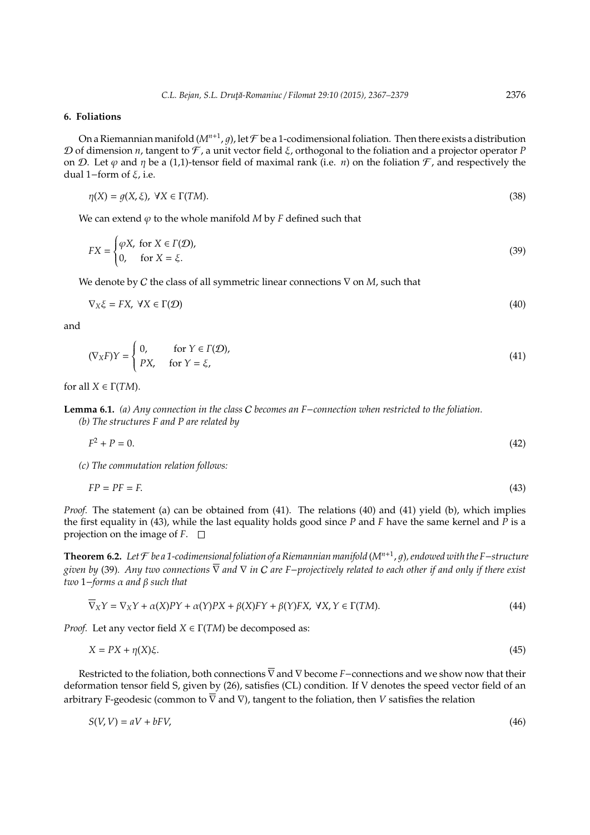# **6. Foliations**

On a Riemannian manifold ( $M^{n+1}$ , g), let  ${\cal F}$  be a 1-codimensional foliation. Then there exists a distribution D of dimension *n*, tangent to F , a unit vector field ξ, orthogonal to the foliation and a projector operator *P* on D. Let  $\varphi$  and  $\eta$  be a (1,1)-tensor field of maximal rank (i.e. *n*) on the foliation  $\mathcal{F}$ , and respectively the dual 1−form of ξ, i.e.

$$
\eta(X) = g(X, \xi), \ \forall X \in \Gamma(TM). \tag{38}
$$

We can extend  $\varphi$  to the whole manifold *M* by *F* defined such that

$$
FX = \begin{cases} \varphi X, \text{ for } X \in \Gamma(\mathcal{D}), \\ 0, \quad \text{for } X = \xi. \end{cases}
$$
 (39)

We denote by C the class of all symmetric linear connections ∇ on *M*, such that

$$
\nabla_X \xi = FX, \ \forall X \in \Gamma(\mathcal{D})
$$
\n<sup>(40)</sup>

and

$$
(\nabla_X F)Y = \begin{cases} 0, & \text{for } Y \in \Gamma(\mathcal{D}), \\ PX, & \text{for } Y = \xi, \end{cases}
$$
 (41)

for all  $X \in \Gamma(TM)$ .

**Lemma 6.1.** *(a) Any connection in the class* C *becomes an F*−*connection when restricted to the foliation. (b) The structures F and P are related by*

$$
F^2 + P = 0.\tag{42}
$$

*(c) The commutation relation follows:*

$$
FP = PF = F.\tag{43}
$$

*Proof.* The statement (a) can be obtained from (41). The relations (40) and (41) yield (b), which implies the first equality in (43), while the last equality holds good since *P* and *F* have the same kernel and *P* is a projection on the image of  $F$ .  $\Box$ 

**Theorem 6.2.** *Let* F *be a 1-codimensional foliation of a Riemannian manifold* (*Mn*+<sup>1</sup> , 1)*, endowed with the F*−*structure given by* (39)*. Any two connections* ∇ *and* ∇ *in* C *are F*−*projectively related to each other if and only if there exist two* 1−*forms* α *and* β *such that*

$$
\overline{\nabla}_X Y = \nabla_X Y + \alpha(X)PY + \alpha(Y)PX + \beta(X)FY + \beta(Y)FX, \ \forall X, Y \in \Gamma(TM). \tag{44}
$$

*Proof.* Let any vector field  $X \in \Gamma(TM)$  be decomposed as:

$$
X = PX + \eta(X)\xi. \tag{45}
$$

Restricted to the foliation, both connections  $\overline{\nabla}$  and  $\nabla$  become *F*−connections and we show now that their deformation tensor field S, given by (26), satisfies (CL) condition. If V denotes the speed vector field of an arbitrary F-geodesic (common to  $\overline{\nabla}$  and  $\nabla$ ), tangent to the foliation, then *V* satisfies the relation

$$
S(V, V) = aV + bFV, \tag{46}
$$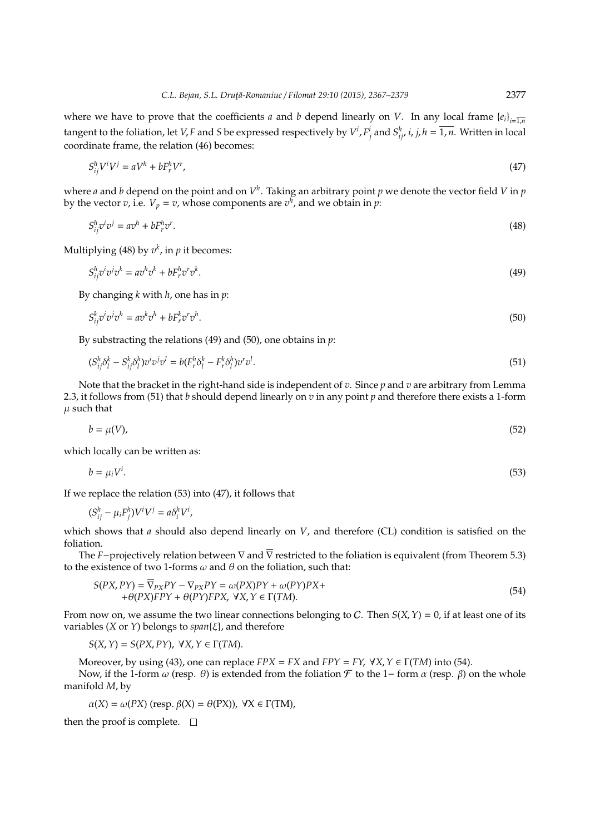where we have to prove that the coefficients *a* and *b* depend linearly on *V*. In any local frame  ${e_i}_{i=\overline{1,n}}$ tangent to the foliation, let V, F and S be expressed respectively by  $V^i$ ,  $F^i_j$  and  $S^h_{ij'}$  i, j,  $h=1$ , n. Written in local coordinate frame, the relation (46) becomes:

$$
S_{ij}^h V^i V^j = aV^h + bF_r^h V^r,\tag{47}
$$

where *a* and *b* depend on the point and on  $V^h$ . Taking an arbitrary point  $p$  we denote the vector field V in  $p$ by the vector  $v$ , i.e.  $V_p = v$ , whose components are  $v^h$ , and we obtain in  $p$ :

$$
S_{ij}^h v^i v^j = a v^h + b F_r^h v^r. \tag{48}
$$

Multiplying (48) by  $v^k$ , in  $p$  it becomes:

$$
S_{ij}^h \partial^i \partial^j \partial^k = a \partial^h \partial^k + b F_r^h \partial^r \partial^k. \tag{49}
$$

By changing *k* with *h*, one has in *p*:

$$
S_{ij}^k v^i v^j v^h = a v^k v^h + b F_r^k v^r v^h. \tag{50}
$$

By substracting the relations (49) and (50), one obtains in *p*:

$$
(S_{ij}^h \delta_l^k - S_{ij}^k \delta_l^h) v^i v^j v^l = b(F_r^h \delta_l^k - F_r^k \delta_l^h) v^r v^l. \tag{51}
$$

Note that the bracket in the right-hand side is independent of *v*. Since *p* and *v* are arbitrary from Lemma 2.3, it follows from (51) that *b* should depend linearly on *v* in any point *p* and therefore there exists a 1-form  $\mu$  such that

$$
b = \mu(V),\tag{52}
$$

which locally can be written as:

$$
b = \mu_i V^i. \tag{53}
$$

If we replace the relation (53) into (47), it follows that

$$
(S_{ij}^h - \mu_i F_j^h) V^i V^j = a \delta_i^h V^i,
$$

which shows that *a* should also depend linearly on *V*, and therefore (CL) condition is satisfied on the foliation.

The *F*−projectively relation between  $\nabla$  and  $\overline{\nabla}$  restricted to the foliation is equivalent (from Theorem 5.3) to the existence of two 1-forms  $\omega$  and  $\theta$  on the foliation, such that:

$$
S(PX, PY) = \overline{\nabla}_{PX} PY - \nabla_{PX} PY = \omega(PX)PY + \omega(PY)PX + + \theta(PX)FPY + \theta(PY)FPX, \ \forall X, Y \in \Gamma(TM).
$$
\n(54)

From now on, we assume the two linear connections belonging to C. Then *S*(*X*,*Y*) = 0, if at least one of its variables (*X* or *Y*) belongs to *span*{ξ}, and therefore

$$
S(X, Y) = S(PX, PY), \ \forall X, Y \in \Gamma(TM).
$$

Moreover, by using (43), one can replace  $FPX = FX$  and  $FPY = FY$ ,  $YX, Y \in \Gamma(TM)$  into (54). Now, if the 1-form  $ω$  (resp.  $θ$ ) is extended from the foliation  $F$  to the 1– form  $α$  (resp.  $β$ ) on the whole manifold *M*, by

$$
\alpha(X) = \omega(PX) \text{ (resp. } \beta(X) = \theta(PX), \ \forall X \in \Gamma(TM),
$$

then the proof is complete.  $\square$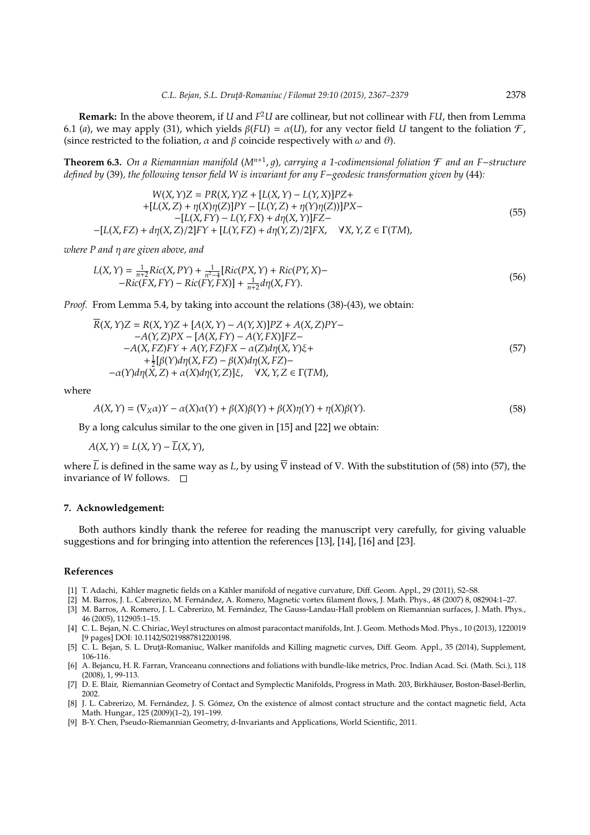**Remark:** In the above theorem, if *U* and *F* <sup>2</sup>*U* are collinear, but not collinear with *FU*, then from Lemma 6.1 (*a*), we may apply (31), which yields  $\beta(FU) = \alpha(U)$ , for any vector field *U* tangent to the foliation  $\mathcal{F}$ , (since restricted to the foliation,  $\alpha$  and  $\beta$  coincide respectively with  $\omega$  and  $\theta$ ).

**Theorem 6.3.** *On a Riemannian manifold* (*M<sup>n</sup>*+<sup>1</sup> , 1)*, carrying a 1-codimensional foliation* F *and an F*−*structure defined by* (39)*, the following tensor field W is invariant for any F*−*geodesic transformation given by* (44)*:*

$$
W(X, Y)Z = PR(X, Y)Z + [L(X, Y) - L(Y, X)]PZ ++ [L(X, Z) + \eta(X)\eta(Z)]PY - [L(Y, Z) + \eta(Y)\eta(Z))]PX -- [L(X, FY) - L(Y, FX) + d\eta(X, Y)]FZ -- [L(X, FZ) + d\eta(X, Z)/2]FY + [L(Y, FZ) + d\eta(Y, Z)/2]FX, \quad YX, Y, Z \in \Gamma(TM),
$$
\n(55)

*where P and* η *are given above, and*

$$
L(X,Y) = \frac{1}{n+2}Ric(X,PY) + \frac{1}{n^2-4}[Ric(PX,Y) + Ric(PY,X) - Ric(FX,FY) - Ric(FY,FX)] + \frac{1}{n+2}d\eta(X,FY).
$$
\n(56)

*Proof.* From Lemma 5.4, by taking into account the relations (38)-(43), we obtain:

$$
\overline{R}(X,Y)Z = R(X,Y)Z + [A(X,Y) - A(Y,X)]PZ + A(X,Z)PY - A(Y,Z)PX - [A(X,FY) - A(Y,FX)]FZ - A(X,FZ)FY + A(Y,FZ)FX - \alpha(Z)d\eta(X,Y)\xi ++\frac{1}{2}[\beta(Y)d\eta(X,FZ) - \beta(X)d\eta(X,FZ) --\alpha(Y)d\eta(X,Z) + \alpha(X)d\eta(Y,Z)]\xi, \quad \forall X,Y,Z \in \Gamma(TM),
$$
\n(57)

where

$$
A(X,Y) = (\nabla_X \alpha)Y - \alpha(X)\alpha(Y) + \beta(X)\beta(Y) + \beta(X)\eta(Y) + \eta(X)\beta(Y). \tag{58}
$$

By a long calculus similar to the one given in [15] and [22] we obtain:

$$
A(X,Y) = L(X,Y) - \overline{L}(X,Y),
$$

where  $\overline{L}$  is defined in the same way as *L*, by using  $\overline{\nabla}$  instead of  $\nabla$ . With the substitution of (58) into (57), the invariance of *W* follows.

#### **7. Acknowledgement:**

Both authors kindly thank the referee for reading the manuscript very carefully, for giving valuable suggestions and for bringing into attention the references [13], [14], [16] and [23].

#### **References**

- [1] T. Adachi, Kähler magnetic fields on a Kähler manifold of negative curvature, Diff. Geom. Appl., 29 (2011), S2–S8.
- [2] M. Barros, J. L. Cabrerizo, M. Fernandez, A. Romero, Magnetic vortex filament flows, J. Math. Phys., 48 (2007) 8, 082904:1–27. ´
- [3] M. Barros, A. Romero, J. L. Cabrerizo, M. Fernández, The Gauss-Landau-Hall problem on Riemannian surfaces, J. Math. Phys., 46 (2005), 112905:1–15.
- [4] C. L. Bejan, N. C. Chiriac, Weyl structures on almost paracontact manifolds, Int. J. Geom. Methods Mod. Phys., 10 (2013), 1220019 [9 pages] DOI: 10.1142/S0219887812200198.
- [5] C. L. Bejan, S. L. Drută-Romaniuc, Walker manifolds and Killing magnetic curves, Diff. Geom. Appl., 35 (2014), Supplement, 106-116.
- [6] A. Bejancu, H. R. Farran, Vranceanu connections and foliations with bundle-like metrics, Proc. Indian Acad. Sci. (Math. Sci.), 118 (2008), 1, 99-113.
- [7] D. E. Blair, Riemannian Geometry of Contact and Symplectic Manifolds, Progress in Math. 203, Birkhäuser, Boston-Basel-Berlin, 2002.
- [8] J. L. Cabrerizo, M. Fernández, J. S. Gómez, On the existence of almost contact structure and the contact magnetic field, Acta Math. Hungar., 125 (2009)(1–2), 191–199.
- [9] B-Y. Chen, Pseudo-Riemannian Geometry, d-Invariants and Applications, World Scientific, 2011.